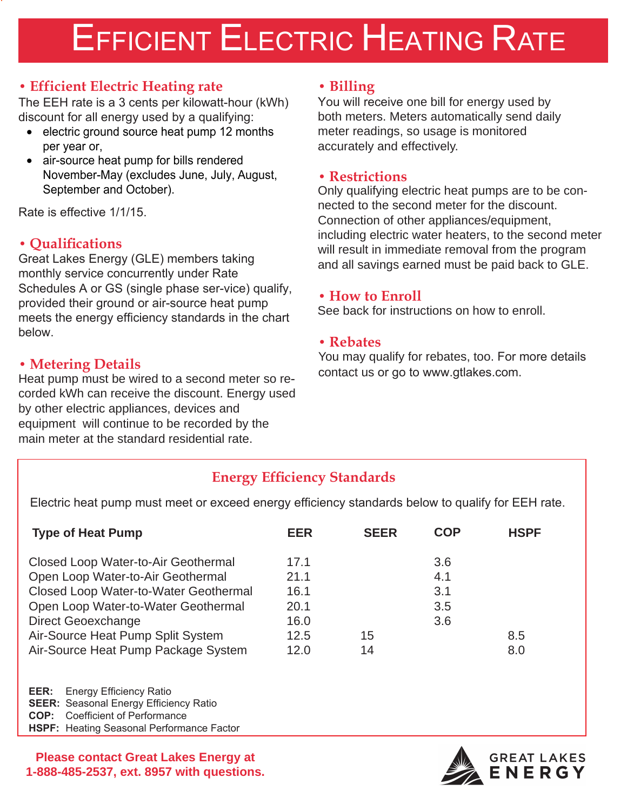# EFFICIENT ELECTRIC HEATING RATE

## **• Efficient Electric Heating rate**

The EEH rate is a 3 cents per kilowatt-hour (kWh) discount for all energy used by a qualifying:

- electric ground source heat pump 12 months per year or,
- air-source heat pump for bills rendered November-May (excludes June, July, August, September and October).

Rate is effective 1/1/15.

## **• Qualifi cations**

Great Lakes Energy (GLE) members taking monthly service concurrently under Rate Schedules A or GS (single phase ser-vice) qualify, provided their ground or air-source heat pump meets the energy efficiency standards in the chart below.

#### **• Metering Details**

Heat pump must be wired to a second meter so recorded kWh can receive the discount. Energy used by other electric appliances, devices and equipment will continue to be recorded by the main meter at the standard residential rate.

#### **• Billing**

You will receive one bill for energy used by both meters. Meters automatically send daily meter readings, so usage is monitored accurately and effectively.

#### **• Restrictions**

Only qualifying electric heat pumps are to be connected to the second meter for the discount. Connection of other appliances/equipment, including electric water heaters, to the second meter will result in immediate removal from the program and all savings earned must be paid back to GLE.

#### **• How to Enroll**

See back for instructions on how to enroll.

#### **• Rebates**

You may qualify for rebates, too. For more details contact us or go to www.gtlakes.com.

## **Energy Efficiency Standards**

Electric heat pump must meet or exceed energy efficiency standards below to qualify for EEH rate.

| <b>Type of Heat Pump</b>                                                                                                                                                                                                                                   | <b>EER</b>                                           | <b>SEER</b> | <b>COP</b>                      | <b>HSPF</b> |
|------------------------------------------------------------------------------------------------------------------------------------------------------------------------------------------------------------------------------------------------------------|------------------------------------------------------|-------------|---------------------------------|-------------|
| Closed Loop Water-to-Air Geothermal<br>Open Loop Water-to-Air Geothermal<br>Closed Loop Water-to-Water Geothermal<br>Open Loop Water-to-Water Geothermal<br>Direct Geoexchange<br>Air-Source Heat Pump Split System<br>Air-Source Heat Pump Package System | 17.1<br>21.1<br>16.1<br>20.1<br>16.0<br>12.5<br>12.0 | 15<br>14    | 3.6<br>4.1<br>3.1<br>3.5<br>3.6 | 8.5<br>8.0  |
| EER:<br><b>Energy Efficiency Ratio</b><br><b>SEER:</b> Seasonal Energy Efficiency Ratio<br><b>Coefficient of Performance</b><br>COP:                                                                                                                       |                                                      |             |                                 |             |

**HSPF:** Heating Seasonal Performance Factor

**Please contact Great Lakes Energy at 1-888-485-2537, ext. 8957 with questions.**

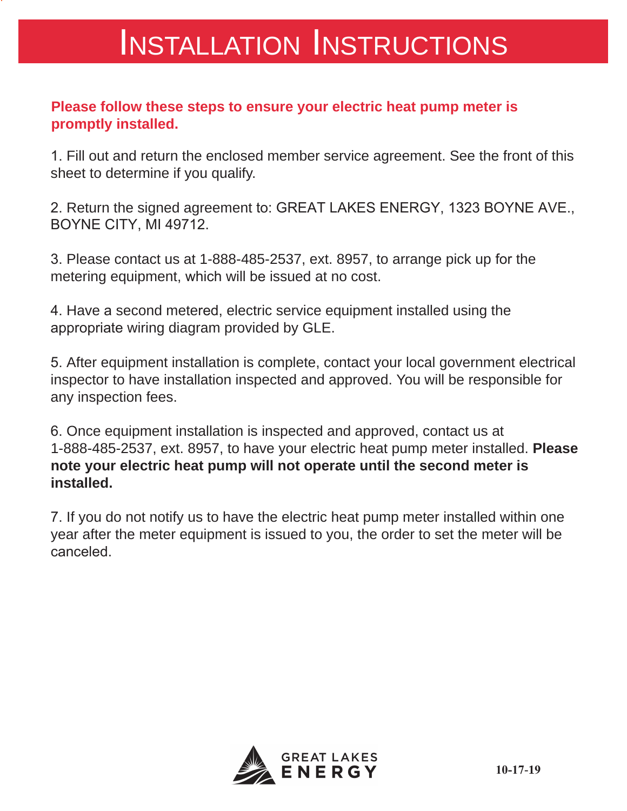## INSTALLATION INSTRUCTIONS

## **Please follow these steps to ensure your electric heat pump meter is promptly installed.**

1. Fill out and return the enclosed member service agreement. See the front of this sheet to determine if you qualify.

2. Return the signed agreement to: GREAT LAKES ENERGY, 1323 BOYNE AVE., BOYNE CITY, MI 49712.

3. Please contact us at 1-888-485-2537, ext. 8957, to arrange pick up for the metering equipment, which will be issued at no cost.

4. Have a second metered, electric service equipment installed using the appropriate wiring diagram provided by GLE.

5. After equipment installation is complete, contact your local government electrical inspector to have installation inspected and approved. You will be responsible for any inspection fees.

6. Once equipment installation is inspected and approved, contact us at 1-888-485-2537, ext. 8957, to have your electric heat pump meter installed. **Please note your electric heat pump will not operate until the second meter is installed.**

7. If you do not notify us to have the electric heat pump meter installed within one year after the meter equipment is issued to you, the order to set the meter will be canceled.

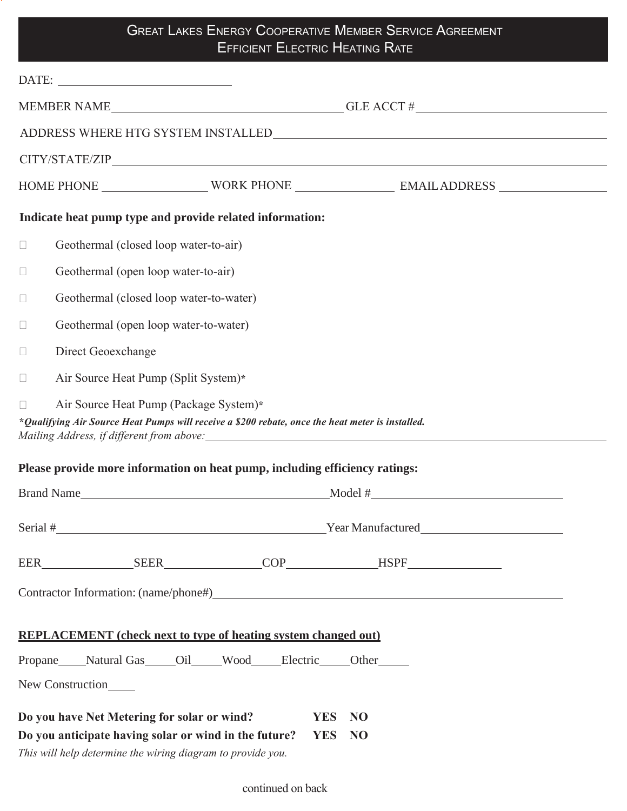## **GREAT LAKES ENERGY COOPERATIVE MEMBER SERVICE AGREEMENT EFFICIENT ELECTRIC HEATING RATE**

g

|                                                                                                                                                                                                                               | $\begin{tabular}{c} \bf{DATE:} \end{tabular}$                               |  |  |  |  |  |  |  |
|-------------------------------------------------------------------------------------------------------------------------------------------------------------------------------------------------------------------------------|-----------------------------------------------------------------------------|--|--|--|--|--|--|--|
| MEMBER NAME GLE ACCT #                                                                                                                                                                                                        |                                                                             |  |  |  |  |  |  |  |
| ADDRESS WHERE HTG SYSTEM INSTALLED NAME AND ASSESSMENT OF A SERIES AND RESIDENCE ASSESSMENT OF A SERIES AND ASSESSMENT OF A SERIES AND A SERIES AND A SERIES AND A SERIES AND A SERIES AND A SERIES AND A SERIES AND A SERIES |                                                                             |  |  |  |  |  |  |  |
|                                                                                                                                                                                                                               |                                                                             |  |  |  |  |  |  |  |
|                                                                                                                                                                                                                               |                                                                             |  |  |  |  |  |  |  |
|                                                                                                                                                                                                                               | Indicate heat pump type and provide related information:                    |  |  |  |  |  |  |  |
| $\Box$                                                                                                                                                                                                                        | Geothermal (closed loop water-to-air)                                       |  |  |  |  |  |  |  |
| $\Box$                                                                                                                                                                                                                        | Geothermal (open loop water-to-air)                                         |  |  |  |  |  |  |  |
| $\Box$                                                                                                                                                                                                                        | Geothermal (closed loop water-to-water)                                     |  |  |  |  |  |  |  |
| $\Box$                                                                                                                                                                                                                        | Geothermal (open loop water-to-water)                                       |  |  |  |  |  |  |  |
| $\Box$                                                                                                                                                                                                                        | Direct Geoexchange                                                          |  |  |  |  |  |  |  |
| $\Box$                                                                                                                                                                                                                        | Air Source Heat Pump (Split System)*                                        |  |  |  |  |  |  |  |
| Air Source Heat Pump (Package System)*<br>*Qualifying Air Source Heat Pumps will receive a \$200 rebate, once the heat meter is installed.                                                                                    |                                                                             |  |  |  |  |  |  |  |
|                                                                                                                                                                                                                               | Please provide more information on heat pump, including efficiency ratings: |  |  |  |  |  |  |  |
|                                                                                                                                                                                                                               |                                                                             |  |  |  |  |  |  |  |
|                                                                                                                                                                                                                               | Serial # Year Manufactured                                                  |  |  |  |  |  |  |  |
|                                                                                                                                                                                                                               |                                                                             |  |  |  |  |  |  |  |
|                                                                                                                                                                                                                               |                                                                             |  |  |  |  |  |  |  |
| <b>REPLACEMENT</b> (check next to type of heating system changed out)                                                                                                                                                         |                                                                             |  |  |  |  |  |  |  |
| Propane Natural Gas Oil Wood Electric Other                                                                                                                                                                                   |                                                                             |  |  |  |  |  |  |  |
| New Construction                                                                                                                                                                                                              |                                                                             |  |  |  |  |  |  |  |
| Do you have Net Metering for solar or wind?<br><b>YES</b><br><b>NO</b><br>Do you anticipate having solar or wind in the future?<br><b>YES</b><br><b>NO</b><br>This will help determine the wiring diagram to provide you.     |                                                                             |  |  |  |  |  |  |  |